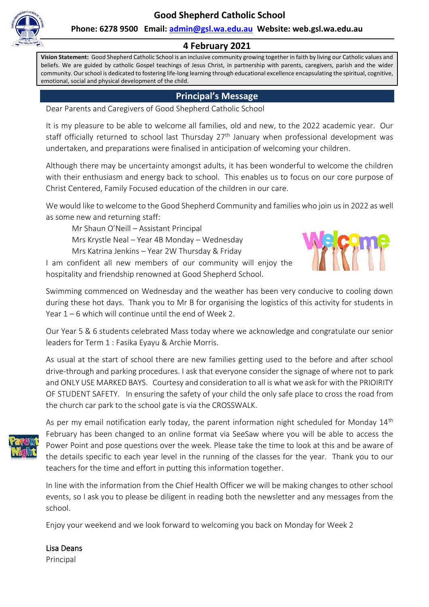### **Phone: 6278 9500 Email: [admin@gsl.wa.edu.au](mailto:admin@gsl.wa.edu.au) Website: web.gsl.wa.edu.au**

#### **4 February 2021**

**Vision Statement:** Good Shepherd Catholic School is an inclusive community growing together in faith by living our Catholic values and beliefs. We are guided by catholic Gospel teachings of Jesus Christ, in partnership with parents, caregivers, parish and the wider community. Our school is dedicated to fostering life-long learning through educational excellence encapsulating the spiritual, cognitive, emotional, social and physical development of the child.

#### **Principal's Message**

Dear Parents and Caregivers of Good Shepherd Catholic School

It is my pleasure to be able to welcome all families, old and new, to the 2022 academic year. Our staff officially returned to school last Thursday 27<sup>th</sup> January when professional development was undertaken, and preparations were finalised in anticipation of welcoming your children.

Although there may be uncertainty amongst adults, it has been wonderful to welcome the children with their enthusiasm and energy back to school. This enables us to focus on our core purpose of Christ Centered, Family Focused education of the children in our care.

We would like to welcome to the Good Shepherd Community and families who join us in 2022 as well as some new and returning staff:

Mr Shaun O'Neill – Assistant Principal

Mrs Krystle Neal – Year 4B Monday – Wednesday

Mrs Katrina Jenkins – Year 2W Thursday & Friday

I am confident all new members of our community will enjoy the hospitality and friendship renowned at Good Shepherd School.



Swimming commenced on Wednesday and the weather has been very conducive to cooling down during these hot days. Thank you to Mr B for organising the logistics of this activity for students in Year 1 – 6 which will continue until the end of Week 2.

Our Year 5 & 6 students celebrated Mass today where we acknowledge and congratulate our senior leaders for Term 1 : Fasika Eyayu & Archie Morris.

As usual at the start of school there are new families getting used to the before and after school drive-through and parking procedures. I ask that everyone consider the signage of where not to park and ONLY USE MARKED BAYS. Courtesy and consideration to all is what we ask for with the PRIOIRITY OF STUDENT SAFETY. In ensuring the safety of your child the only safe place to cross the road from the church car park to the school gate is via the CROSSWALK.



As per my email notification early today, the parent information night scheduled for Monday  $14<sup>th</sup>$ February has been changed to an online format via SeeSaw where you will be able to access the Power Point and pose questions over the week. Please take the time to look at this and be aware of the details specific to each year level in the running of the classes for the year. Thank you to our teachers for the time and effort in putting this information together.

In line with the information from the Chief Health Officer we will be making changes to other school events, so I ask you to please be diligent in reading both the newsletter and any messages from the school.

Enjoy your weekend and we look forward to welcoming you back on Monday for Week 2

Lisa Deans Principal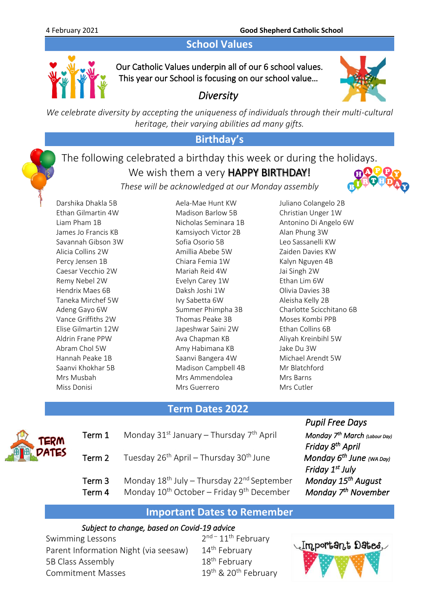# **School Values**



Our Catholic Values underpin all of our 6 school values. This year our School is focusing on our school value…



*Diversity* 

*We celebrate diversity by accepting the uniqueness of individuals through their multi-cultural heritage, their varying abilities ad many gifts.*

**Birthday's**

# The following celebrated a birthday this week or during the holidays.

We wish them a very **HAPPY BIRTHDAY!** 



*These will be acknowledged at our Monday assembly*

Darshika Dhakla 5B Aela-Mae Hunt KW Juliano Colangelo 2B

Ethan Gilmartin 4W Madison Barlow 5B Christian Unger 1W James Jo Francis KB Kamsiyoch Victor 2B Alan Phung 3W Savannah Gibson 3W Sofia Osorio 5B Leo Sassanelli KW Alicia Collins 2W Amillia Abebe 5W Zaiden Davies KW Percy Jensen 1B Chiara Femia 1W Kalyn Nguyen 4B Caesar Vecchio 2W Mariah Reid 4W Jai Singh 2W Remy Nebel 2W Evelyn Carey 1W Ethan Lim 6W Hendrix Maes 6B Daksh Joshi 1W Olivia Davies 3B Taneka Mirchef 5W Ivy Sabetta 6W Aleisha Kelly 2B Vance Griffiths 2W Thomas Peake 3B Moses Kombi PPB Elise Gilmartin 12W Japeshwar Saini 2W Ethan Collins 6B Aldrin Frane PPW Ava Chapman KB Aliyah Kreinbihl 5W Abram Chol 5W **Amy Habimana KB** Jake Du 3W Hannah Peake 1B Saanvi Bangera 4W Michael Arendt 5W Saanvi Khokhar 5B Madison Campbell 4B Mr Blatchford Mrs Musbah Mrs Ammendolea Mrs Barns Miss Donisi Mrs Guerrero Mrs Cutler

Liam Pham 1B Nicholas Seminara 1B Antonino Di Angelo 6W Adeng Gayo 6W Summer Phimpha 3B Charlotte Scicchitano 6B

### **Term Dates 2022**



**Term 1** Monday 31<sup>st</sup> January – Thursday  $7<sup>th</sup>$  April  *Friday 8th* Term 2 Tuesday 26 th April – Thursday 30th June *Monday 6th Friday 1st July* 

Term 3 Monday 18<sup>th</sup> July – Thursday 22<sup>nd</sup> September Monday 15 Term 4 Monday 10<sup>th</sup> October – Friday 9<sup>th</sup> December Monday 7

#### *Pupil Free Days*

th April *Monday 7th March (Labour Day) Fridav 8<sup>th</sup> April Monday*  $6^{th}$  June (WA Day) *th August th November*

# **Important Dates to Remember**

#### *Subject to change, based on Covid-19 advice*

Swimming Lessons 2 Parent Information Night (via seesaw)  $14<sup>th</sup>$  February 5B Class Assembly 18<sup>th</sup> February **Commitment Masses** 

 $2<sup>nd</sup> - 11<sup>th</sup>$  February 19<sup>th</sup> & 20<sup>th</sup> February

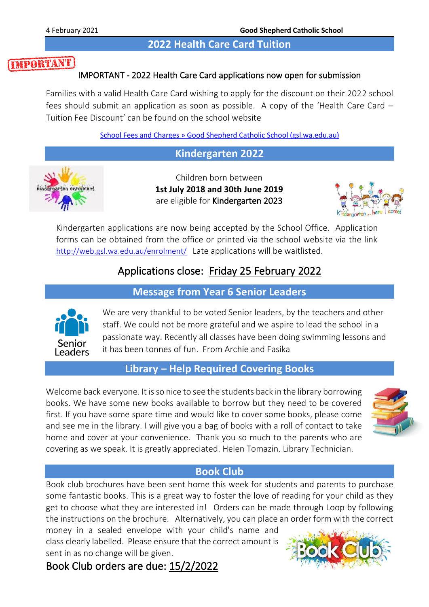#### **2022 Health Care Card Tuition**

# MPORTANT

#### IMPORTANT - 2022 Health Care Card applications now open for submission

Families with a valid Health Care Card wishing to apply for the discount on their 2022 school fees should submit an application as soon as possible. A copy of the 'Health Care Card – Tuition Fee Discount' can be found on the school website

[School Fees and Charges » Good Shepherd Catholic School \(gsl.wa.edu.au\)](http://web.gsl.wa.edu.au/our-families/school-fees-and-charges/)

### **Kindergarten 2022**



Children born between **1st July 2018 and 30th June 2019** are eligible for Kindergarten 2023



Kindergarten applications are now being accepted by the School Office. Application forms can be obtained from the office or printed via the school website via the link <http://web.gsl.wa.edu.au/enrolment/> Late applications will be waitlisted.

# Applications close: Friday 25 February 2022

#### **Message from Year 6 Senior Leaders**



We are very thankful to be voted Senior leaders, by the teachers and other staff. We could not be more grateful and we aspire to lead the school in a passionate way. Recently all classes have been doing swimming lessons and it has been tonnes of fun. From Archie and Fasika

### **Library – Help Required Covering Books**

Welcome back everyone. It is so nice to see the students back in the library borrowing books. We have some new books available to borrow but they need to be covered first. If you have some spare time and would like to cover some books, please come and see me in the library. I will give you a bag of books with a roll of contact to take home and cover at your convenience. Thank you so much to the parents who are covering as we speak. It is greatly appreciated. Helen Tomazin. Library Technician.



### **Book Club**

Book club brochures have been sent home this week for students and parents to purchase some fantastic books. This is a great way to foster the love of reading for your child as they get to choose what they are interested in! Orders can be made through Loop by following the instructions on the brochure. Alternatively, you can place an order form with the correct

money in a sealed envelope with your child's name and class clearly labelled. Please ensure that the correct amount is sent in as no change will be given.

Book Club orders are due: 15/2/2022

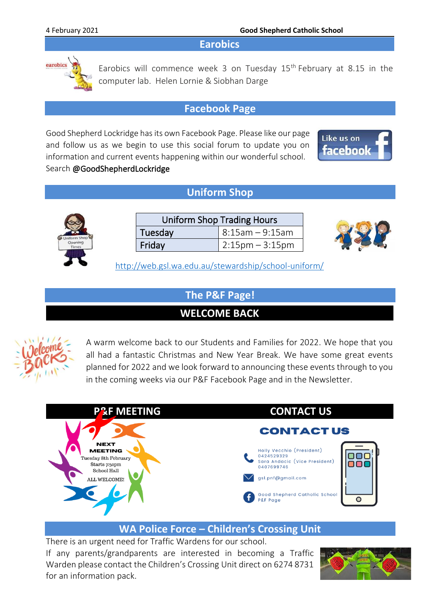**Earobics**



Earobics will commence week 3 on Tuesday  $15<sup>th</sup>$  February at 8.15 in the computer lab. Helen Lornie & Siobhan Darge

# **Facebook Page**

Good Shepherd Lockridge has its own Facebook Page. Please like our page and follow us as we begin to use this social forum to update you on information and current events happening within our wonderful school. Search @GoodShepherdLockridge



# **Uniform Shop**



| <b>Uniform Shop Trading Hours</b> |                      |
|-----------------------------------|----------------------|
| Tuesday                           | $  8:15$ am - 9:15am |
| Friday                            | $2:15$ pm $-3:15$ pm |



<http://web.gsl.wa.edu.au/stewardship/school-uniform/>

# **The P&F Page!**

# **WELCOME BACK**



A warm welcome back to our Students and Families for 2022. We hope that you all had a fantastic Christmas and New Year Break. We have some great events planned for 2022 and we look forward to announcing these events through to you in the coming weeks via our P&F Facebook Page and in the Newsletter.



#### **WA Police Force – Children's Crossing Unit**

There is an urgent need for Traffic Wardens for our school. If any parents/grandparents are interested in becoming a Traffic Warden please contact the Children's Crossing Unit direct on 6274 8731 for an information pack.